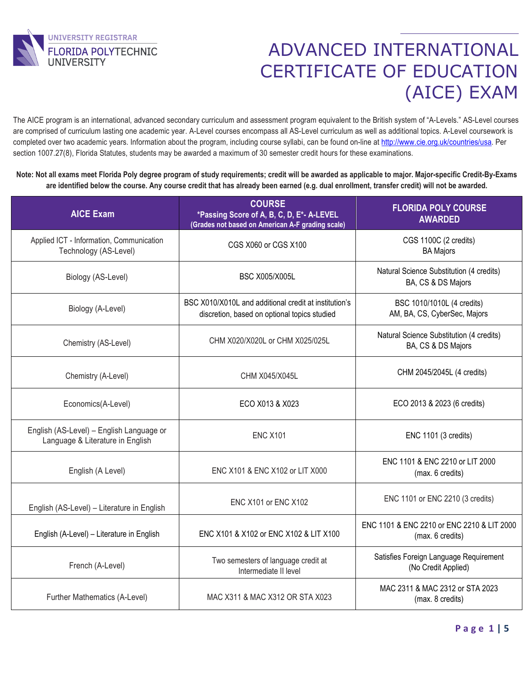

 The AICE program is an international, advanced secondary curriculum and assessment program equivalent to the British system of "A-Levels." AS-Level courses are comprised of curriculum lasting one academic year. A-Level courses encompass all AS-Level curriculum as well as additional topics. A-Level coursework is completed over two academic years. Information about the program, including course syllabi, can be found on-line at [http://www.cie.org.uk/countries/usa.](http://www.cie.org.uk/countries/usa) Per section 1007.27(8), Florida Statutes, students may be awarded a maximum of 30 semester credit hours for these examinations.

**Note: Not all exams meet Florida Poly degree program of study requirements; credit will be awarded as applicable to major. Major-specific Credit-By-Exams are identified below the course. Any course credit that has already been earned (e.g. dual enrollment, transfer credit) will not be awarded.**

| <b>AICE Exam</b>                                                             | <b>COURSE</b><br>*Passing Score of A, B, C, D, E*- A-LEVEL<br>(Grades not based on American A-F grading scale) | <b>FLORIDA POLY COURSE</b><br><b>AWARDED</b>                   |
|------------------------------------------------------------------------------|----------------------------------------------------------------------------------------------------------------|----------------------------------------------------------------|
| Applied ICT - Information, Communication<br>Technology (AS-Level)            | CGS X060 or CGS X100                                                                                           | CGS 1100C (2 credits)<br><b>BA Majors</b>                      |
| Biology (AS-Level)                                                           | <b>BSC X005/X005L</b>                                                                                          | Natural Science Substitution (4 credits)<br>BA, CS & DS Majors |
| Biology (A-Level)                                                            | BSC X010/X010L and additional credit at institution's<br>discretion, based on optional topics studied          | BSC 1010/1010L (4 credits)<br>AM, BA, CS, CyberSec, Majors     |
| Chemistry (AS-Level)                                                         | CHM X020/X020L or CHM X025/025L                                                                                | Natural Science Substitution (4 credits)<br>BA, CS & DS Majors |
| Chemistry (A-Level)                                                          | CHM X045/X045L                                                                                                 | CHM 2045/2045L (4 credits)                                     |
| Economics(A-Level)                                                           | ECO X013 & X023                                                                                                | ECO 2013 & 2023 (6 credits)                                    |
| English (AS-Level) - English Language or<br>Language & Literature in English | <b>ENC X101</b>                                                                                                | ENC 1101 (3 credits)                                           |
| English (A Level)                                                            | ENC X101 & ENC X102 or LIT X000                                                                                | ENC 1101 & ENC 2210 or LIT 2000<br>(max. 6 credits)            |
| English (AS-Level) - Literature in English                                   | <b>ENC X101 or ENC X102</b>                                                                                    | ENC 1101 or ENC 2210 (3 credits)                               |
| English (A-Level) - Literature in English                                    | ENC X101 & X102 or ENC X102 & LIT X100                                                                         | ENC 1101 & ENC 2210 or ENC 2210 & LIT 2000<br>(max. 6 credits) |
| French (A-Level)                                                             | Two semesters of language credit at<br>Intermediate II level                                                   | Satisfies Foreign Language Requirement<br>(No Credit Applied)  |
| Further Mathematics (A-Level)                                                | MAC X311 & MAC X312 OR STA X023                                                                                | MAC 2311 & MAC 2312 or STA 2023<br>(max. 8 credits)            |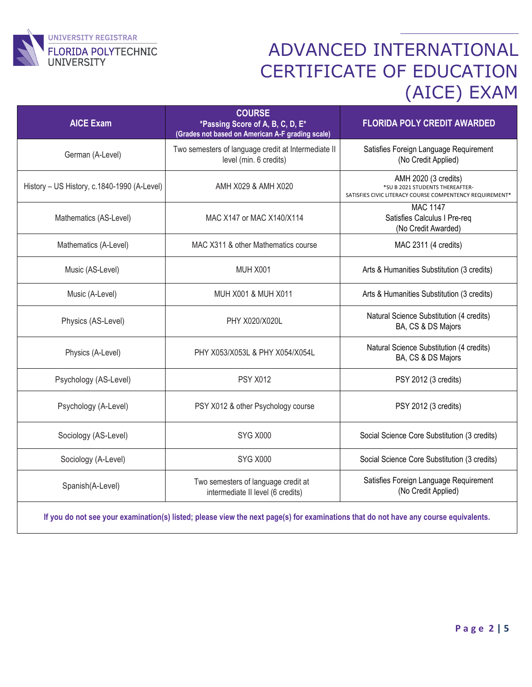

| <b>AICE Exam</b>                                                                                                                     | <b>COURSE</b><br>*Passing Score of A, B, C, D, E*<br>(Grades not based on American A-F grading scale) | <b>FLORIDA POLY CREDIT AWARDED</b>                                                                                              |
|--------------------------------------------------------------------------------------------------------------------------------------|-------------------------------------------------------------------------------------------------------|---------------------------------------------------------------------------------------------------------------------------------|
| German (A-Level)                                                                                                                     | Two semesters of language credit at Intermediate II<br>level (min. 6 credits)                         | Satisfies Foreign Language Requirement<br>(No Credit Applied)                                                                   |
| History - US History, c.1840-1990 (A-Level)                                                                                          | AMH X029 & AMH X020                                                                                   | AMH 2020 (3 credits)<br>*SU B 2021 STUDENTS THEREAFTER-<br>SATISFIES CIVIC LITERACY COURSE COMPENTENCY REQUIREMENT <sup>*</sup> |
| Mathematics (AS-Level)                                                                                                               | MAC X147 or MAC X140/X114                                                                             | <b>MAC 1147</b><br>Satisfies Calculus I Pre-req<br>(No Credit Awarded)                                                          |
| Mathematics (A-Level)                                                                                                                | MAC X311 & other Mathematics course                                                                   | MAC 2311 (4 credits)                                                                                                            |
| Music (AS-Level)                                                                                                                     | <b>MUH X001</b>                                                                                       | Arts & Humanities Substitution (3 credits)                                                                                      |
| Music (A-Level)                                                                                                                      | MUH X001 & MUH X011                                                                                   | Arts & Humanities Substitution (3 credits)                                                                                      |
| Physics (AS-Level)                                                                                                                   | PHY X020/X020L                                                                                        | Natural Science Substitution (4 credits)<br>BA, CS & DS Majors                                                                  |
| Physics (A-Level)                                                                                                                    | PHY X053/X053L & PHY X054/X054L                                                                       | Natural Science Substitution (4 credits)<br>BA, CS & DS Majors                                                                  |
| Psychology (AS-Level)                                                                                                                | <b>PSY X012</b>                                                                                       | PSY 2012 (3 credits)                                                                                                            |
| Psychology (A-Level)                                                                                                                 | PSY X012 & other Psychology course                                                                    | PSY 2012 (3 credits)                                                                                                            |
| Sociology (AS-Level)                                                                                                                 | <b>SYG X000</b>                                                                                       | Social Science Core Substitution (3 credits)                                                                                    |
| Sociology (A-Level)                                                                                                                  | <b>SYG X000</b>                                                                                       | Social Science Core Substitution (3 credits)                                                                                    |
| Spanish(A-Level)                                                                                                                     | Two semesters of language credit at<br>intermediate II level (6 credits)                              | Satisfies Foreign Language Requirement<br>(No Credit Applied)                                                                   |
| If you do not see your examination(s) listed; please view the next page(s) for examinations that do not have any course equivalents. |                                                                                                       |                                                                                                                                 |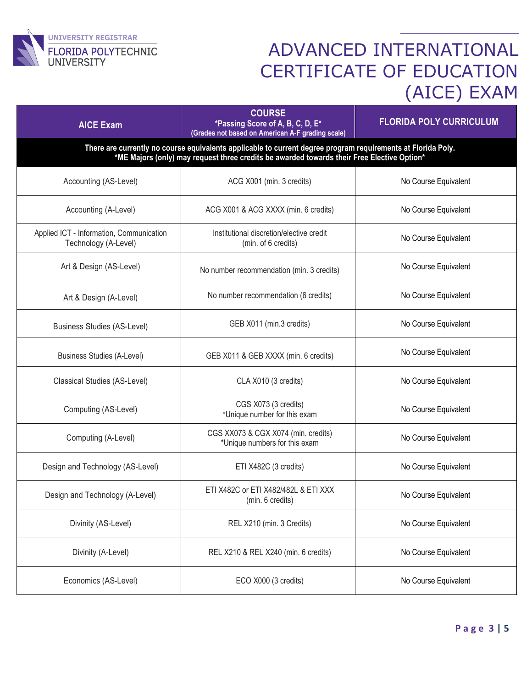

| <b>AICE Exam</b>                                                                                                                                                                                           | <b>COURSE</b><br>*Passing Score of A, B, C, D, E*<br>(Grades not based on American A-F grading scale) | <b>FLORIDA POLY CURRICULUM</b> |  |  |
|------------------------------------------------------------------------------------------------------------------------------------------------------------------------------------------------------------|-------------------------------------------------------------------------------------------------------|--------------------------------|--|--|
| There are currently no course equivalents applicable to current degree program requirements at Florida Poly.<br>*ME Majors (only) may request three credits be awarded towards their Free Elective Option* |                                                                                                       |                                |  |  |
| Accounting (AS-Level)                                                                                                                                                                                      | ACG X001 (min. 3 credits)                                                                             | No Course Equivalent           |  |  |
| Accounting (A-Level)                                                                                                                                                                                       | ACG X001 & ACG XXXX (min. 6 credits)                                                                  | No Course Equivalent           |  |  |
| Applied ICT - Information, Communication<br>Technology (A-Level)                                                                                                                                           | Institutional discretion/elective credit<br>(min. of 6 credits)                                       | No Course Equivalent           |  |  |
| Art & Design (AS-Level)                                                                                                                                                                                    | No number recommendation (min. 3 credits)                                                             | No Course Equivalent           |  |  |
| Art & Design (A-Level)                                                                                                                                                                                     | No number recommendation (6 credits)                                                                  | No Course Equivalent           |  |  |
| <b>Business Studies (AS-Level)</b>                                                                                                                                                                         | GEB X011 (min.3 credits)                                                                              | No Course Equivalent           |  |  |
| <b>Business Studies (A-Level)</b>                                                                                                                                                                          | GEB X011 & GEB XXXX (min. 6 credits)                                                                  | No Course Equivalent           |  |  |
| Classical Studies (AS-Level)                                                                                                                                                                               | CLA X010 (3 credits)                                                                                  | No Course Equivalent           |  |  |
| Computing (AS-Level)                                                                                                                                                                                       | CGS X073 (3 credits)<br>*Unique number for this exam                                                  | No Course Equivalent           |  |  |
| Computing (A-Level)                                                                                                                                                                                        | CGS XX073 & CGX X074 (min. credits)<br>*Unique numbers for this exam                                  | No Course Equivalent           |  |  |
| Design and Technology (AS-Level)                                                                                                                                                                           | ETI X482C (3 credits)                                                                                 | No Course Equivalent           |  |  |
| Design and Technology (A-Level)                                                                                                                                                                            | ETI X482C or ETI X482/482L & ETI XXX<br>(min. 6 credits)                                              | No Course Equivalent           |  |  |
| Divinity (AS-Level)                                                                                                                                                                                        | REL X210 (min. 3 Credits)                                                                             | No Course Equivalent           |  |  |
| Divinity (A-Level)                                                                                                                                                                                         | REL X210 & REL X240 (min. 6 credits)                                                                  | No Course Equivalent           |  |  |
| Economics (AS-Level)                                                                                                                                                                                       | ECO X000 (3 credits)                                                                                  | No Course Equivalent           |  |  |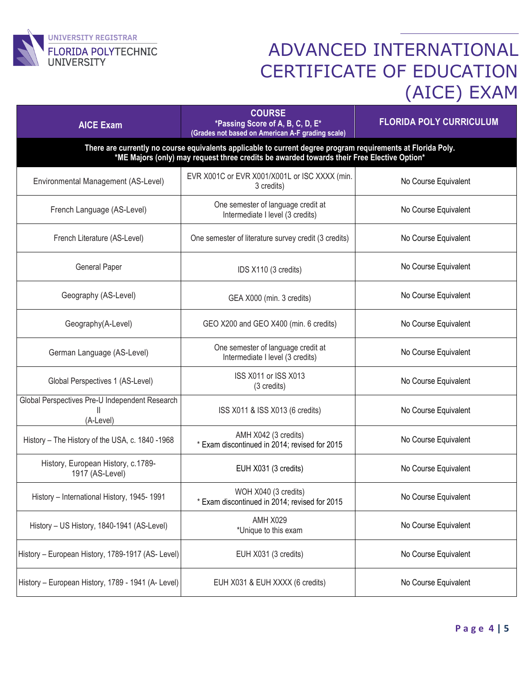

| <b>AICE Exam</b>                                                                                                                                                                                           | <b>COURSE</b><br>*Passing Score of A, B, C, D, E*<br>(Grades not based on American A-F grading scale) | <b>FLORIDA POLY CURRICULUM</b> |  |  |
|------------------------------------------------------------------------------------------------------------------------------------------------------------------------------------------------------------|-------------------------------------------------------------------------------------------------------|--------------------------------|--|--|
| There are currently no course equivalents applicable to current degree program requirements at Florida Poly.<br>*ME Majors (only) may request three credits be awarded towards their Free Elective Option* |                                                                                                       |                                |  |  |
| Environmental Management (AS-Level)                                                                                                                                                                        | EVR X001C or EVR X001/X001L or ISC XXXX (min.<br>3 credits)                                           | No Course Equivalent           |  |  |
| French Language (AS-Level)                                                                                                                                                                                 | One semester of language credit at<br>Intermediate I level (3 credits)                                | No Course Equivalent           |  |  |
| French Literature (AS-Level)                                                                                                                                                                               | One semester of literature survey credit (3 credits)                                                  | No Course Equivalent           |  |  |
| <b>General Paper</b>                                                                                                                                                                                       | IDS X110 (3 credits)                                                                                  | No Course Equivalent           |  |  |
| Geography (AS-Level)                                                                                                                                                                                       | GEA X000 (min. 3 credits)                                                                             | No Course Equivalent           |  |  |
| Geography(A-Level)                                                                                                                                                                                         | GEO X200 and GEO X400 (min. 6 credits)                                                                | No Course Equivalent           |  |  |
| German Language (AS-Level)                                                                                                                                                                                 | One semester of language credit at<br>Intermediate I level (3 credits)                                | No Course Equivalent           |  |  |
| Global Perspectives 1 (AS-Level)                                                                                                                                                                           | ISS X011 or ISS X013<br>(3 credits)                                                                   | No Course Equivalent           |  |  |
| Global Perspectives Pre-U Independent Research<br>Ш<br>(A-Level)                                                                                                                                           | ISS X011 & ISS X013 (6 credits)                                                                       | No Course Equivalent           |  |  |
| History - The History of the USA, c. 1840 -1968                                                                                                                                                            | AMH X042 (3 credits)<br>* Exam discontinued in 2014; revised for 2015                                 | No Course Equivalent           |  |  |
| History, European History, c.1789-<br>1917 (AS-Level)                                                                                                                                                      | EUH X031 (3 credits)                                                                                  | No Course Equivalent           |  |  |
| History - International History, 1945-1991                                                                                                                                                                 | WOH X040 (3 credits)<br>* Exam discontinued in 2014; revised for 2015                                 | No Course Equivalent           |  |  |
| History - US History, 1840-1941 (AS-Level)                                                                                                                                                                 | <b>AMH X029</b><br>*Unique to this exam                                                               | No Course Equivalent           |  |  |
| History - European History, 1789-1917 (AS- Level)                                                                                                                                                          | EUH X031 (3 credits)                                                                                  | No Course Equivalent           |  |  |
| History - European History, 1789 - 1941 (A- Level)                                                                                                                                                         | EUH X031 & EUH XXXX (6 credits)                                                                       | No Course Equivalent           |  |  |